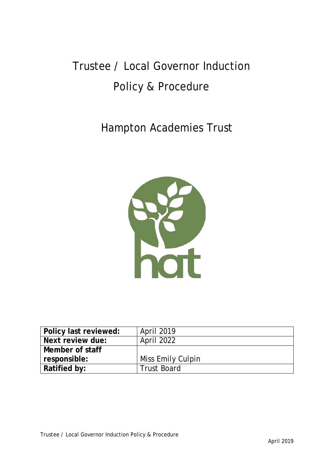# Trustee / Local Governor Induction Policy & Procedure

## Hampton Academies Trust



| Policy last reviewed: | April 2019         |
|-----------------------|--------------------|
| Next review due:      | <b>April 2022</b>  |
| Member of staff       |                    |
| responsible:          | Miss Emily Culpin  |
| Ratified by:          | <b>Trust Board</b> |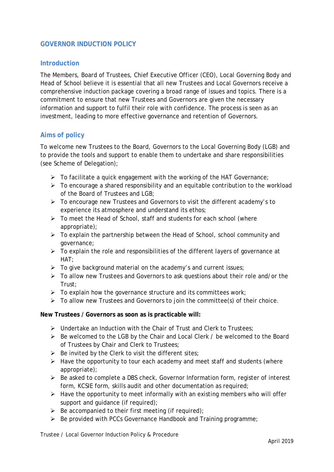### **GOVERNOR INDUCTION POLICY**

### **Introduction**

The Members, Board of Trustees, Chief Executive Officer (CEO), Local Governing Body and Head of School believe it is essential that all new Trustees and Local Governors receive a comprehensive induction package covering a broad range of issues and topics. There is a commitment to ensure that new Trustees and Governors are given the necessary information and support to fulfil their role with confidence. The process is seen as an investment, leading to more effective governance and retention of Governors.

#### **Aims of policy**

To welcome new Trustees to the Board, Governors to the Local Governing Body (LGB) and to provide the tools and support to enable them to undertake and share responsibilities (see Scheme of Delegation);

- $\triangleright$  To facilitate a quick engagement with the working of the HAT Governance;
- $\triangleright$  To encourage a shared responsibility and an equitable contribution to the workload of the Board of Trustees and LGB;
- To encourage new Trustees and Governors to visit the different academy's to experience its atmosphere and understand its ethos;
- $\triangleright$  To meet the Head of School, staff and students for each school (where appropriate);
- $\triangleright$  To explain the partnership between the Head of School, school community and governance;
- $\triangleright$  To explain the role and responsibilities of the different layers of governance at HAT;
- $\triangleright$  To give background material on the academy's and current issues;
- To allow new Trustees and Governors to ask questions about their role and/or the Trust;
- $\triangleright$  To explain how the governance structure and its committees work;
- $\triangleright$  To allow new Trustees and Governors to join the committee(s) of their choice.

#### **New Trustees / Governors as soon as is practicable will:**

- $\triangleright$  Undertake an Induction with the Chair of Trust and Clerk to Trustees;
- $\triangleright$  Be welcomed to the LGB by the Chair and Local Clerk / be welcomed to the Board of Trustees by Chair and Clerk to Trustees;
- $\triangleright$  Be invited by the Clerk to visit the different sites;
- $\triangleright$  Have the opportunity to tour each academy and meet staff and students (where appropriate);
- $\triangleright$  Be asked to complete a DBS check, Governor Information form, register of interest form, KCSIE form, skills audit and other documentation as required;
- $\triangleright$  Have the opportunity to meet informally with an existing members who will offer support and quidance (if required):
- $\triangleright$  Be accompanied to their first meeting (if required);
- $\triangleright$  Be provided with PCCs Governance Handbook and Training programme;

Trustee / Local Governor Induction Policy & Procedure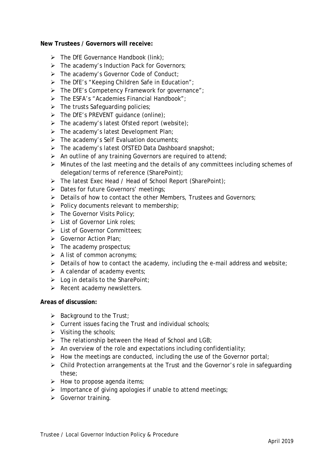#### **New Trustees / Governors will receive:**

- $\triangleright$  The DfE Governance Handbook (link);
- $\triangleright$  The academy's Induction Pack for Governors;
- > The academy's Governor Code of Conduct;
- $\triangleright$  The DfE's "Keeping Children Safe in Education";
- > The DfE's Competency Framework for governance";
- $\triangleright$  The ESFA's "Academies Financial Handbook":
- $\triangleright$  The trusts Safeguarding policies;
- $\triangleright$  The DfE's PREVENT quidance (online);
- $\triangleright$  The academy's latest Ofsted report (website);
- $\triangleright$  The academy's latest Development Plan;
- $\triangleright$  The academy's Self Evaluation documents;
- $\triangleright$  The academy's latest OfSTED Data Dashboard snapshot;
- $\triangleright$  An outline of any training Governors are required to attend;
- $\triangleright$  Minutes of the last meeting and the details of any committees including schemes of delegation/terms of reference (SharePoint);
- > The latest Exec Head / Head of School Report (SharePoint);
- > Dates for future Governors' meetings;
- $\triangleright$  Details of how to contact the other Members, Trustees and Governors;
- $\triangleright$  Policy documents relevant to membership;
- $\triangleright$  The Governor Visits Policy;
- Eist of Governor Link roles:
- List of Governor Committees;
- Scovernor Action Plan:
- $\triangleright$  The academy prospectus;
- $\triangleright$  A list of common acronyms;
- $\triangleright$  Details of how to contact the academy, including the e-mail address and website;
- $\triangleright$  A calendar of academy events;
- $\triangleright$  Log in details to the SharePoint;
- $\triangleright$  Recent academy newsletters.

#### **Areas of discussion:**

- $\triangleright$  Background to the Trust;
- $\triangleright$  Current issues facing the Trust and individual schools;
- $\triangleright$  Visiting the schools;
- $\triangleright$  The relationship between the Head of School and LGB;
- $\triangleright$  An overview of the role and expectations including confidentiality;
- $\triangleright$  How the meetings are conducted, including the use of the Governor portal;
- $\triangleright$  Child Protection arrangements at the Trust and the Governor's role in safeguarding these;
- $\triangleright$  How to propose agenda items;
- $\triangleright$  Importance of giving apologies if unable to attend meetings;
- Sovernor training.